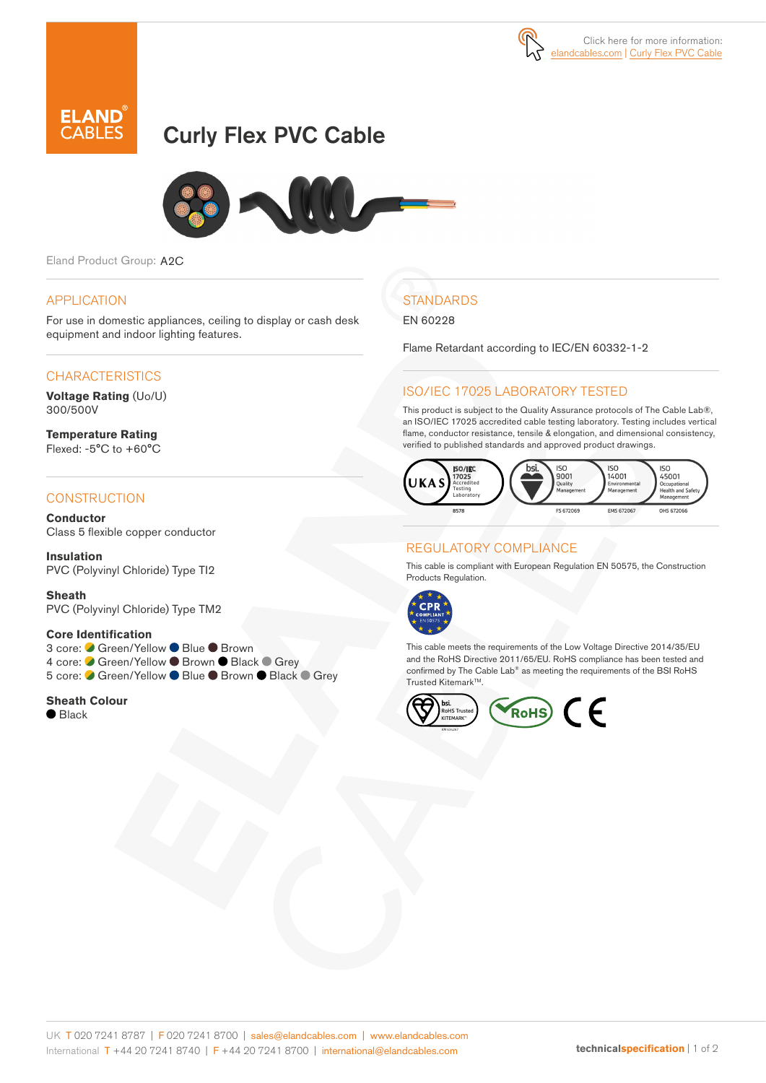



# Curly Flex PVC Cable



Eland Product Group: A2C

#### APPLICATION

For use in domestic appliances, ceiling to display or cash desk equipment and indoor lighting features.

### **CHARACTERISTICS**

**Voltage Rating** (Uo/U) 300/500V

**Temperature Rating** Flexed: -5°C to +60°C

#### **CONSTRUCTION**

**Conductor** Class 5 flexible copper conductor

**Insulation** PVC (Polyvinyl Chloride) Type TI2

**Sheath** PVC (Polyvinyl Chloride) Type TM2

#### **Core Identification**

3 core: ● Green/Yellow ● Blue ● Brown 4 core: Green/Yellow Brown Black Grey 5 core: C Green/Yellow ● Blue ● Brown ● Black ● Grey

**Sheath Colour**

 $\bullet$  Black

# **STANDARDS**

EN 60228

Flame Retardant according to IEC/EN 60332-1-2

### ISO/IEC 17025 LABORATORY TESTED

This product is subject to the Quality Assurance protocols of The Cable Lab®, an ISO/IEC 17025 accredited cable testing laboratory. Testing includes vertical flame, conductor resistance, tensile & elongation, and dimensional consistency, verified to published standards and approved product drawings.



## REGULATORY COMPLIANCE

This cable is compliant with European Regulation EN 50575, the Construction Products Regulation.



This cable meets the requirements of the Low Voltage Directive 2014/35/EU and the RoHS Directive 2011/65/EU. RoHS compliance has been tested and confirmed by The Cable Lab® as meeting the requirements of the BSI RoHS Trusted Kitemark™.